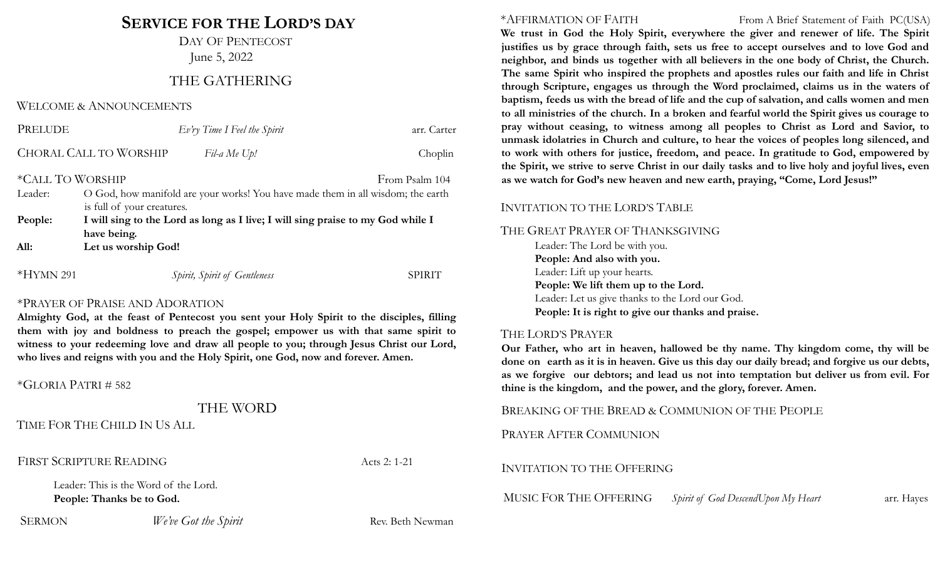# **SERVICE FOR THE LORD'S DAY**

DAY OF PENTECOST June 5, 2022

# THE GATHERING

#### WELCOME & ANNOUNCEMENTS

| PRELUDE          |                                                                                 | $Ev'ry$ Time I Feel the Spirit | arr. Carter    |
|------------------|---------------------------------------------------------------------------------|--------------------------------|----------------|
|                  | <b>CHORAL CALL TO WORSHIP</b>                                                   | Fil-a Me Up!                   | Choplin        |
| *CALL TO WORSHIP |                                                                                 |                                | From Psalm 104 |
| Leader:          | O God, how manifold are your works! You have made them in all wisdom; the earth |                                |                |
|                  | is full of your creatures.                                                      |                                |                |
| People:          | I will sing to the Lord as long as I live; I will sing praise to my God while I |                                |                |
|                  | have being.                                                                     |                                |                |
| All:             | Let us worship God!                                                             |                                |                |
| $*HYMN$ 291      |                                                                                 | Spirit, Spirit of Gentleness   | <b>SPIRIT</b>  |

#### \*PRAYER OF PRAISE AND ADORATION

**Almighty God, at the feast of Pentecost you sent your Holy Spirit to the disciples, filling them with joy and boldness to preach the gospel; empower us with that same spirit to witness to your redeeming love and draw all people to you; through Jesus Christ our Lord, who lives and reigns with you and the Holy Spirit, one God, now and forever. Amen.**

\*GLORIA PATRI # 582

## THE WORD

TIME FOR THE CHILD IN US ALL

FIRST SCRIPTURE READING Acts 2: 1-21

Leader: This is the Word of the Lord. **People: Thanks be to God.**

SERMON *We've Got the Spirit* Rev. Beth Newman

#### \*AFFIRMATION OF FAITH From A Brief Statement of Faith PC(USA)

**We trust in God the Holy Spirit, everywhere the giver and renewer of life. The Spirit justifies us by grace through faith, sets us free to accept ourselves and to love God and neighbor, and binds us together with all believers in the one body of Christ, the Church. The same Spirit who inspired the prophets and apostles rules our faith and life in Christ through Scripture, engages us through the Word proclaimed, claims us in the waters of baptism, feeds us with the bread of life and the cup of salvation, and calls women and men to all ministries of the church. In a broken and fearful world the Spirit gives us courage to pray without ceasing, to witness among all peoples to Christ as Lord and Savior, to unmask idolatries in Church and culture, to hear the voices of peoples long silenced, and to work with others for justice, freedom, and peace. In gratitude to God, empowered by** the Spirit, we strive to serve Christ in our daily tasks and to live holy and joyful lives, even **as we watch for God's new heaven and new earth, praying, "Come, Lord Jesus!"**

#### INVITATION TO THE LORD'S TABLE

THE GREAT PRAYER OF THANKSGIVING

Leader: The Lord be with you. **People: And also with you.** Leader: Lift up your hearts. **People: We lift them up to the Lord.** Leader: Let us give thanks to the Lord our God. **People: It is right to give our thanks and praise.**

#### THE LORD'S PRAYER

**Our Father, who art in heaven, hallowed be thy name. Thy kingdom come, thy will be** done on earth as it is in heaven. Give us this day our daily bread; and forgive us our debts, **as we forgive our debtors; and lead us not into temptation but deliver us from evil. For thine is the kingdom, and the power, and the glory, forever. Amen.**

BREAKING OF THE BREAD & COMMUNION OF THE PEOPLE

PRAYER AFTER COMMUNION

### INVITATION TO THE OFFERING

MUSIC FOR THE OFFERING *Spirit of God DescendUpon My Heart* arr. Hayes